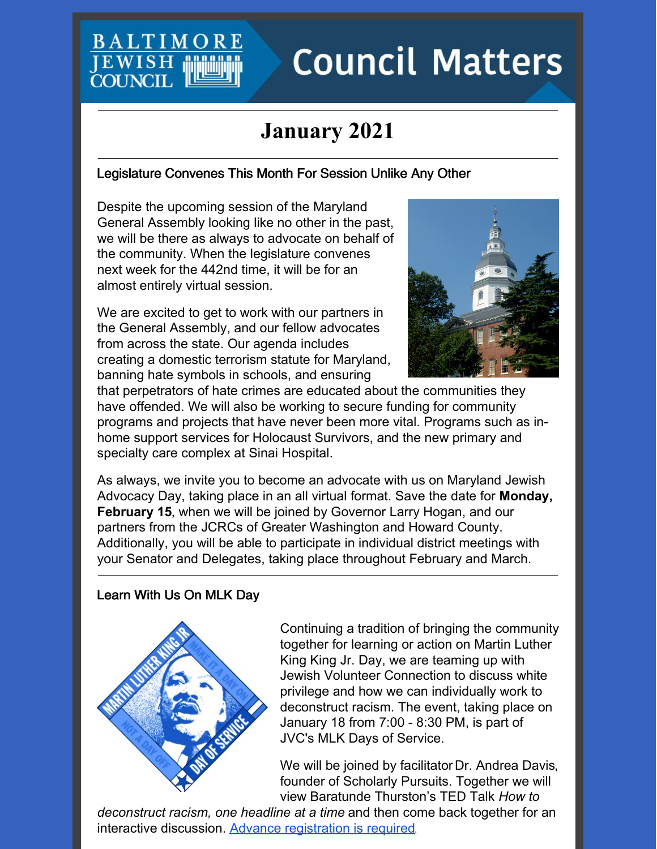## **BALTIMO JEWISH COUNC**

# **Council Matters**

# **January 2021**

#### Legislature Convenes This Month For Session Unlike Any Other

Despite the upcoming session of the Maryland General Assembly looking like no other in the past, we will be there as always to advocate on behalf of the community. When the legislature convenes next week for the 442nd time, it will be for an almost entirely virtual session.

We are excited to get to work with our partners in the General Assembly, and our fellow advocates from across the state. Our agenda includes creating a domestic terrorism statute for Maryland, banning hate symbols in schools, and ensuring



that perpetrators of hate crimes are educated about the communities they have offended. We will also be working to secure funding for community programs and projects that have never been more vital. Programs such as inhome support services for Holocaust Survivors, and the new primary and specialty care complex at Sinai Hospital.

As always, we invite you to become an advocate with us on Maryland Jewish Advocacy Day, taking place in an all virtual format. Save the date for **Monday, February 15**, when we will be joined by Governor Larry Hogan, and our partners from the JCRCs of Greater Washington and Howard County. Additionally, you will be able to participate in individual district meetings with your Senator and Delegates, taking place throughout February and March.

#### Learn With Us On MLK Day



Continuing a tradition of bringing the community together for learning or action on Martin Luther King King Jr. Day, we are teaming up with Jewish Volunteer Connection to discuss white privilege and how we can individually work to deconstruct racism. The event, taking place on January 18 from 7:00 - 8:30 PM, is part of JVC's MLK Days of Service.

We will be joined by facilitator Dr. Andrea Davis, founder of Scholarly Pursuits. Together we will view Baratunde Thurston's TED Talk *How to*

*deconstruct racism, one headline at a time* and then come back together for an interactive discussion. Advance [registration](https://jvcbaltimore.org/event/understanding-white-privilege-to-deconstruct-racism-presented-in-partnership-with-baltimore-jewish-council/) is required.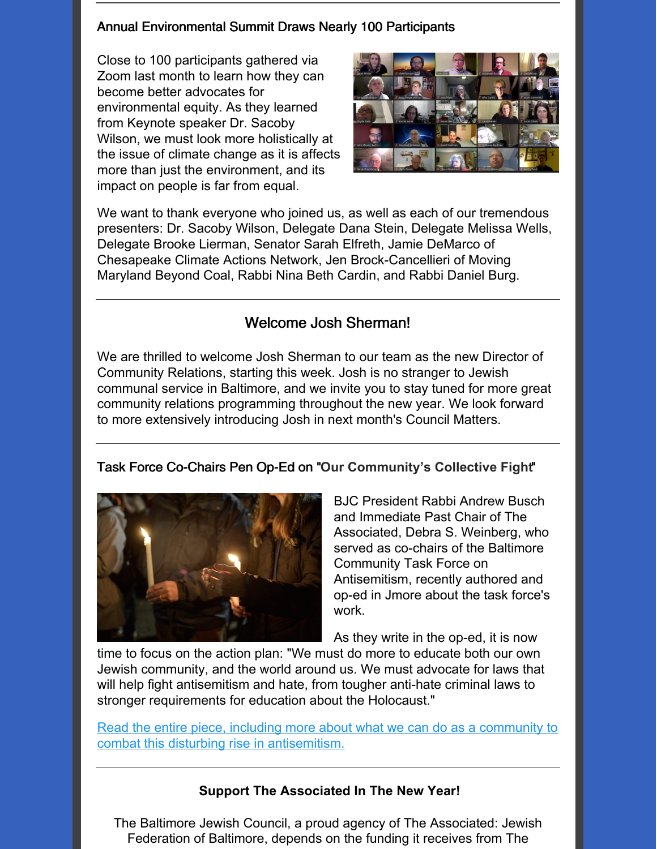#### Annual Environmental Summit Draws Nearly 100 Participants

Close to 100 participants gathered via Zoom last month to learn how they can become better advocates for environmental equity. As they learned from Keynote speaker Dr. Sacoby Wilson, we must look more holistically at the issue of climate change as it is affects more than just the environment, and its impact on people is far from equal.



We want to thank everyone who joined us, as well as each of our tremendous presenters: Dr. Sacoby Wilson, Delegate Dana Stein, Delegate Melissa Wells, Delegate Brooke Lierman, Senator Sarah Elfreth, Jamie DeMarco of Chesapeake Climate Actions Network, Jen Brock-Cancellieri of Moving Maryland Beyond Coal, Rabbi Nina Beth Cardin, and Rabbi Daniel Burg.

#### Welcome Josh Sherman!

We are thrilled to welcome Josh Sherman to our team as the new Director of Community Relations, starting this week. Josh is no stranger to Jewish communal service in Baltimore, and we invite you to stay tuned for more great community relations programming throughout the new year. We look forward to more extensively introducing Josh in next month's Council Matters.

#### Task Force Co-Chairs Pen Op-Ed on "**Our Community's Collective Fight**"



BJC President Rabbi Andrew Busch and Immediate Past Chair of The Associated, Debra S. Weinberg, who served as co-chairs of the Baltimore Community Task Force on Antisemitism, recently authored and op-ed in Jmore about the task force's work.

As they write in the op-ed, it is now

time to focus on the action plan: "We must do more to educate both our own Jewish community, and the world around us. We must advocate for laws that will help fight antisemitism and hate, from tougher anti-hate criminal laws to stronger requirements for education about the Holocaust."

Read the entire piece, including more about what we can do as a community to combat this disturbing rise in [antisemitism.](https://www.jmoreliving.com/2020/12/24/our-communitys-collective-fight-against-hate-and-antisemitism/)

#### **Support The Associated In The New Year!**

The Baltimore Jewish Council, a proud agency of The Associated: Jewish Federation of Baltimore, depends on the funding it receives from The